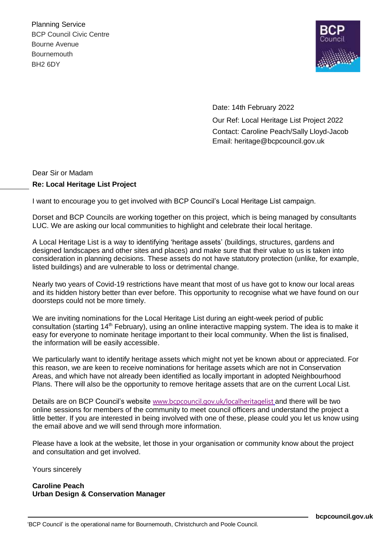Planning Service BCP Council Civic Centre Bourne Avenue **Bournemouth** BH2 6DY



Date: 14th February 2022 Our Ref: Local Heritage List Project 2022 Contact: Caroline Peach/Sally Lloyd-Jacob Email: heritage@bcpcouncil.gov.uk

## Dear Sir or Madam **Re: Local Heritage List Project**

I want to encourage you to get involved with BCP Council's Local Heritage List campaign.

Dorset and BCP Councils are working together on this project, which is being managed by consultants LUC. We are asking our local communities to highlight and celebrate their local heritage.

A Local Heritage List is a way to identifying 'heritage assets' (buildings, structures, gardens and designed landscapes and other sites and places) and make sure that their value to us is taken into consideration in planning decisions. These assets do not have statutory protection (unlike, for example, listed buildings) and are vulnerable to loss or detrimental change.

Nearly two years of Covid-19 restrictions have meant that most of us have got to know our local areas and its hidden history better than ever before. This opportunity to recognise what we have found on our doorsteps could not be more timely.

We are inviting nominations for the Local Heritage List during an eight-week period of public consultation (starting 14<sup>th</sup> February), using an online interactive mapping system. The idea is to make it easy for everyone to nominate heritage important to their local community. When the list is finalised, the information will be easily accessible.

We particularly want to identify heritage assets which might not yet be known about or appreciated. For this reason, we are keen to receive nominations for heritage assets which are not in Conservation Areas, and which have not already been identified as locally important in adopted Neighbourhood Plans. There will also be the opportunity to remove heritage assets that are on the current Local List.

Details are on BCP Council's website [www.bcpcouncil.gov.uk/localheritagelist](http://www.bcpcouncil.gov.uk/localheritagelist) and there will be two online sessions for members of the community to meet council officers and understand the project a little better. If you are interested in being involved with one of these, please could you let us know using the email above and we will send through more information.

Please have a look at the website, let those in your organisation or community know about the project and consultation and get involved.

Yours sincerely

## **Caroline Peach Urban Design & Conservation Manager**